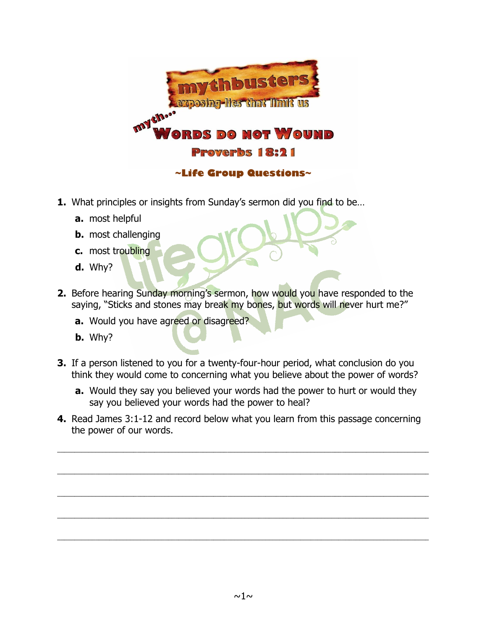

- **1.** What principles or insights from Sunday's sermon did you find to be...
	- **a.** most helpful
	- **b.** most challenging
	- **c.** most troubling
	- **d.** Why?
- **2.** Before hearing Sunday morning's sermon, how would you have responded to the saying, "Sticks and stones may break my bones, but words will never hurt me?"
	- **a.** Would you have agreed or disagreed?
	- **b.** Why?
- **3.** If a person listened to you for a twenty-four-hour period, what conclusion do you think they would come to concerning what you believe about the power of words?
	- **a.** Would they say you believed your words had the power to hurt or would they say you believed your words had the power to heal?
- **4.** Read James 3:1-12 and record below what you learn from this passage concerning the power of our words.

 $\_$  ,  $\_$  ,  $\_$  ,  $\_$  ,  $\_$  ,  $\_$  ,  $\_$  ,  $\_$  ,  $\_$  ,  $\_$  ,  $\_$  ,  $\_$  ,  $\_$  ,  $\_$  ,  $\_$  ,  $\_$  ,  $\_$  ,  $\_$  ,  $\_$  ,  $\_$  ,  $\_$  ,  $\_$  ,  $\_$  ,  $\_$  ,  $\_$  ,  $\_$  ,  $\_$  ,  $\_$  ,  $\_$  ,  $\_$  ,  $\_$  ,  $\_$  ,  $\_$  ,  $\_$  ,  $\_$  ,  $\_$  ,  $\_$  ,

 $\mathcal{L}_\mathcal{L} = \{ \mathcal{L}_\mathcal{L} = \{ \mathcal{L}_\mathcal{L} = \{ \mathcal{L}_\mathcal{L} = \{ \mathcal{L}_\mathcal{L} = \{ \mathcal{L}_\mathcal{L} = \{ \mathcal{L}_\mathcal{L} = \{ \mathcal{L}_\mathcal{L} = \{ \mathcal{L}_\mathcal{L} = \{ \mathcal{L}_\mathcal{L} = \{ \mathcal{L}_\mathcal{L} = \{ \mathcal{L}_\mathcal{L} = \{ \mathcal{L}_\mathcal{L} = \{ \mathcal{L}_\mathcal{L} = \{ \mathcal{L}_\mathcal{$ 

\_\_\_\_\_\_\_\_\_\_\_\_\_\_\_\_\_\_\_\_\_\_\_\_\_\_\_\_\_\_\_\_\_\_\_\_\_\_\_\_\_\_\_\_\_\_\_\_\_\_\_\_\_\_\_\_\_\_\_\_\_\_\_\_\_\_\_\_\_\_\_\_\_\_\_\_\_\_\_\_\_\_\_\_\_\_\_\_\_\_\_\_\_\_\_\_\_\_\_\_\_\_\_\_\_\_\_